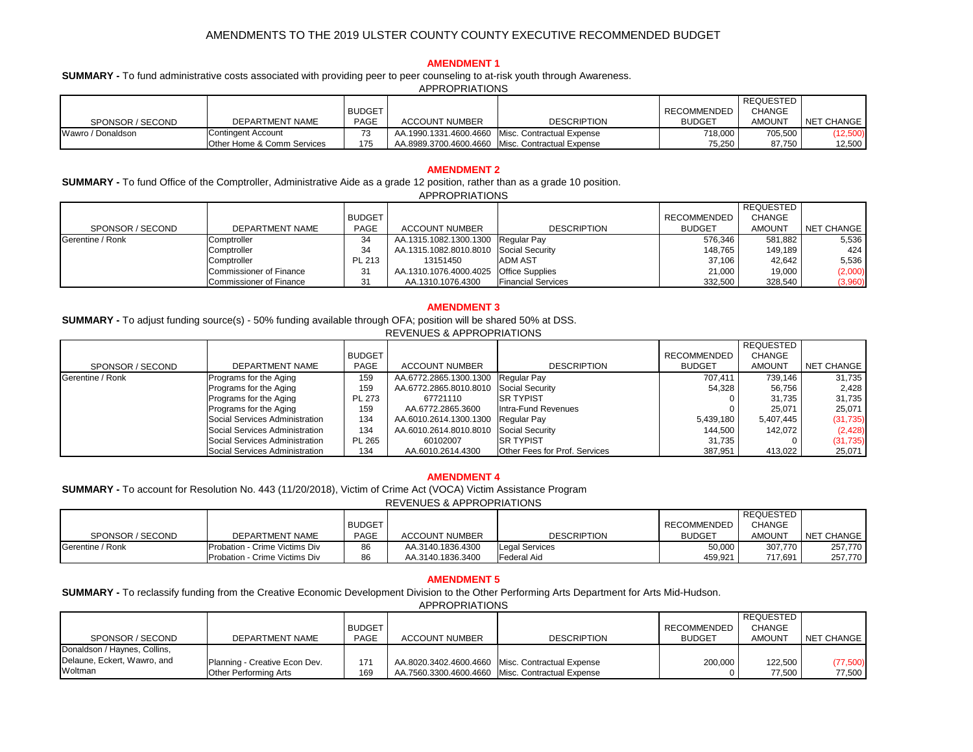|                   |                                       |               |                       |                                                    |                    | REQUESTED     |            |
|-------------------|---------------------------------------|---------------|-----------------------|----------------------------------------------------|--------------------|---------------|------------|
|                   |                                       | <b>BUDGET</b> |                       |                                                    | <b>RECOMMENDED</b> | <b>CHANGE</b> |            |
| SPONSOR / SECOND  | <b>DEPARTMENT NAME</b>                | <b>PAGE</b>   | <b>ACCOUNT NUMBER</b> | <b>DESCRIPTION</b>                                 | <b>BUDGET</b>      | <b>AMOUNT</b> | NET CHANGE |
| Wawro / Donaldson | Contingent Account                    |               |                       | AA.1990.1331.4600.4660   Misc. Contractual Expense | 718,000            | 705,500       | (12,500)   |
|                   | <b>Other Home &amp; Comm Services</b> | 175           |                       | AA.8989.3700.4600.4660   Misc. Contractual Expense | 75,250             | 87,750        | 12,500     |

|                  |                                |               |                                        |                           |               | REQUESTED     |            |
|------------------|--------------------------------|---------------|----------------------------------------|---------------------------|---------------|---------------|------------|
|                  |                                | <b>BUDGET</b> |                                        |                           | RECOMMENDED   | <b>CHANGE</b> |            |
| SPONSOR / SECOND | DEPARTMENT NAME                | <b>PAGE</b>   | <b>ACCOUNT NUMBER</b>                  | <b>DESCRIPTION</b>        | <b>BUDGET</b> | <b>AMOUNT</b> | NET CHANGE |
| Gerentine / Ronk | Comptroller                    | 34            | AA.1315.1082.1300.1300 Regular Pay     |                           | 576,346       | 581,882       | 5,536      |
|                  | Comptroller                    | 34            | AA.1315.1082.8010.8010 Social Security |                           | 148,765       | 149,189       | 424        |
|                  | Comptroller                    | PL 213        | 13151450                               | <b>ADM AST</b>            | 37,106        | 42,642        | 5,536      |
|                  | Commissioner of Finance        | 31            | AA.1310.1076.4000.4025 Office Supplies |                           | 21,000        | 19,000        | (2,000)    |
|                  | <b>Commissioner of Finance</b> | 31            | AA.1310.1076.4300                      | <b>Financial Services</b> | 332,500       | 328,540       | (3,960)    |

|                  |                                |               | <u>NEVERULU &amp; AFFINUENIA HUNU</u>  |                                      |               |                  |            |
|------------------|--------------------------------|---------------|----------------------------------------|--------------------------------------|---------------|------------------|------------|
|                  |                                |               |                                        |                                      |               | <b>REQUESTED</b> |            |
|                  |                                | <b>BUDGET</b> |                                        |                                      | RECOMMENDED   | <b>CHANGE</b>    |            |
| SPONSOR / SECOND | DEPARTMENT NAME                | <b>PAGE</b>   | <b>ACCOUNT NUMBER</b>                  | <b>DESCRIPTION</b>                   | <b>BUDGET</b> | <b>AMOUNT</b>    | NET CHANGE |
| Gerentine / Ronk | Programs for the Aging         | 159           | AA.6772.2865.1300.1300 Regular Pay     |                                      | 707,411       | 739,146          | 31,735     |
|                  | Programs for the Aging         | 159           | AA.6772.2865.8010.8010 Social Security |                                      | 54,328        | 56,756           | 2,428      |
|                  | Programs for the Aging         | <b>PL 273</b> | 67721110                               | <b>ISR TYPIST</b>                    |               | 31,735           | 31,735     |
|                  | Programs for the Aging         | 159           | AA.6772.2865.3600                      | Intra-Fund Revenues                  |               | 25,071           | 25,071     |
|                  | Social Services Administration | 134           | AA.6010.2614.1300.1300 Regular Pay     |                                      | 5,439,180     | 5,407,445        | (31, 735)  |
|                  | Social Services Administration | 134           | AA.6010.2614.8010.8010 Social Security |                                      | 144,500       | 142,072          | (2, 428)   |
|                  | Social Services Administration | <b>PL 265</b> | 60102007                               | <b>ISR TYPIST</b>                    | 31,735        |                  | (31, 735)  |
|                  | Social Services Administration | 134           | AA.6010.2614.4300                      | <b>Other Fees for Prof. Services</b> | 387,951       | 413,022          | 25,071     |

|                  |                                      |               |                       |                    |               | <b>REQUESTED</b> |            |
|------------------|--------------------------------------|---------------|-----------------------|--------------------|---------------|------------------|------------|
|                  |                                      | <b>BUDGET</b> |                       |                    | RECOMMENDED   | <b>CHANGE</b>    |            |
| SPONSOR / SECOND | DEPARTMENT NAME                      | <b>PAGE</b>   | <b>ACCOUNT NUMBER</b> | <b>DESCRIPTION</b> | <b>BUDGET</b> | <b>AMOUNT</b>    | NET CHANGE |
| Gerentine / Ronk | <b>Probation - Crime Victims Div</b> | 86            | AA.3140.1836.4300     | Legal Services     | 50,000        | 307,770          | 257,770    |
|                  | Probation - Crime Victims Div        | 86            | AA.3140.1836.3400     | <b>Federal Aid</b> | 459,921       | 717,691          | 257,770    |

**SUMMARY -** To fund Office of the Comptroller, Administrative Aide as a grade 12 position, rather than as a grade 10 position. APPROPRIATIONS

# **AMENDMENT 1**

## **AMENDMENT 5**

|                              |                               |               |                       |                                                    |                    | ' REQUESTED   |            |
|------------------------------|-------------------------------|---------------|-----------------------|----------------------------------------------------|--------------------|---------------|------------|
|                              |                               | <b>BUDGET</b> |                       |                                                    | <b>RECOMMENDED</b> | <b>CHANGE</b> |            |
| SPONSOR / SECOND             | DEPARTMENT NAME               | <b>PAGE</b>   | <b>ACCOUNT NUMBER</b> | <b>DESCRIPTION</b>                                 | <b>BUDGET</b>      | <b>AMOUNT</b> | NET CHANGE |
| Donaldson / Haynes, Collins, |                               |               |                       |                                                    |                    |               |            |
| Delaune, Eckert, Wawro, and  | Planning - Creative Econ Dev. | 171           |                       | AA.8020.3402.4600.4660   Misc. Contractual Expense | 200,000            | 122,500       | (77,500)   |
| <b>Woltman</b>               | Other Performing Arts         | 169           |                       | AA.7560.3300.4600.4660   Misc. Contractual Expense |                    | 77,500        | 77,500     |

**SUMMARY -** To account for Resolution No. 443 (11/20/2018), Victim of Crime Act (VOCA) Victim Assistance Program REVENUES & APPROPRIATIONS

**SUMMARY -** To reclassify funding from the Creative Economic Development Division to the Other Performing Arts Department for Arts Mid-Hudson. APPROPRIATIONS

**SUMMARY -** To adjust funding source(s) - 50% funding available through OFA; position will be shared 50% at DSS. REVENUES & APPROPRIATIONS

## **AMENDMENT 2**

**SUMMARY -** To fund administrative costs associated with providing peer to peer counseling to at-risk youth through Awareness. APPROPRIATIONS

## **AMENDMENT 4**

## **AMENDMENT 3**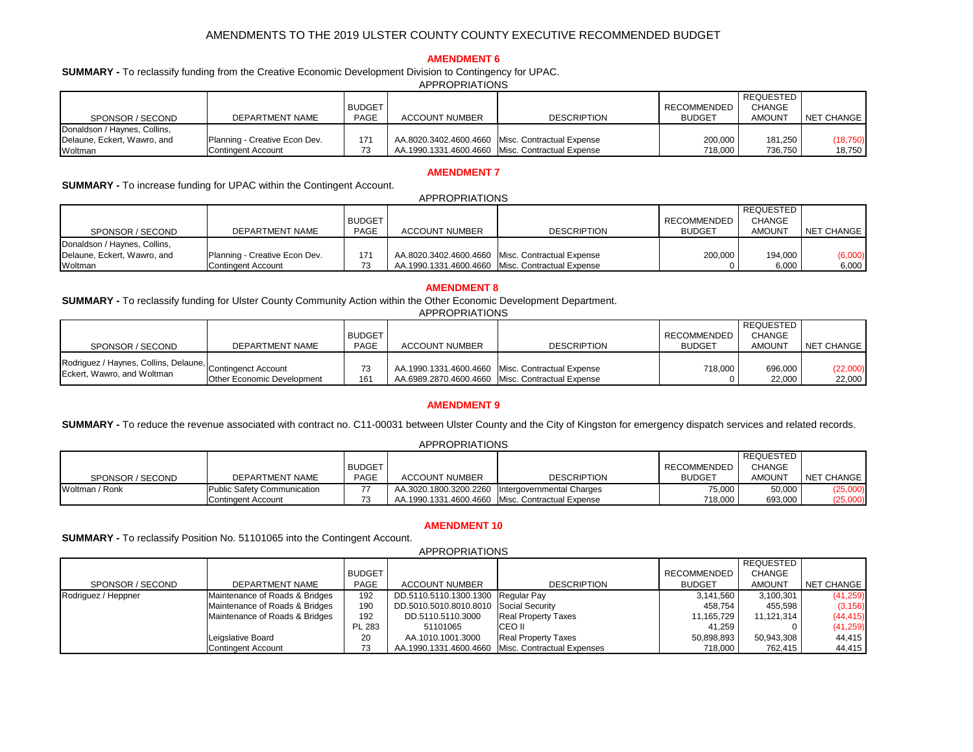|                              |                               |               | טוועוותוווויווער      |                                                    |                    |               |            |
|------------------------------|-------------------------------|---------------|-----------------------|----------------------------------------------------|--------------------|---------------|------------|
|                              |                               |               |                       |                                                    |                    | REQUESTED     |            |
|                              |                               | <b>BUDGET</b> |                       |                                                    | <b>RECOMMENDED</b> | <b>CHANGE</b> |            |
| SPONSOR / SECOND             | DEPARTMENT NAME               | <b>PAGE</b>   | <b>ACCOUNT NUMBER</b> | <b>DESCRIPTION</b>                                 | <b>BUDGET</b>      | <b>AMOUNT</b> | NET CHANGE |
| Donaldson / Haynes, Collins, |                               |               |                       |                                                    |                    |               |            |
| Delaune, Eckert, Wawro, and  | Planning - Creative Econ Dev. | 171           |                       | AA.8020.3402.4600.4660   Misc. Contractual Expense | 200,000            | 181,250       | (18, 750)  |
| Woltman                      | Contingent Account            | 73            |                       | AA.1990.1331.4600.4660   Misc. Contractual Expense | 718,000            | 736,750       | 18,750     |

|                              |                               |               | <b>APPROPRIATIONS</b> |                                                    |                    |                  |            |
|------------------------------|-------------------------------|---------------|-----------------------|----------------------------------------------------|--------------------|------------------|------------|
|                              |                               |               |                       |                                                    |                    | <b>REQUESTED</b> |            |
|                              |                               | <b>BUDGET</b> |                       |                                                    | <b>RECOMMENDED</b> | <b>CHANGE</b>    |            |
| SPONSOR / SECOND             | DEPARTMENT NAME               | <b>PAGE</b>   | <b>ACCOUNT NUMBER</b> | <b>DESCRIPTION</b>                                 | <b>BUDGET</b>      | <b>AMOUNT</b>    | NET CHANGE |
| Donaldson / Haynes, Collins, |                               |               |                       |                                                    |                    |                  |            |
| Delaune, Eckert, Wawro, and  | Planning - Creative Econ Dev. | 171           |                       | AA.8020.3402.4600.4660   Misc. Contractual Expense | 200,000            | 194,000          | (6,000)    |
| Woltman                      | Contingent Account            | 73            |                       | AA.1990.1331.4600.4660   Misc. Contractual Expense |                    | 6,000            | 6,000      |

|                                                                                         |                                   |               |                       |                                                    |                    | <b>REQUESTED</b> |                   |
|-----------------------------------------------------------------------------------------|-----------------------------------|---------------|-----------------------|----------------------------------------------------|--------------------|------------------|-------------------|
|                                                                                         |                                   | <b>BUDGET</b> |                       |                                                    | <b>RECOMMENDED</b> | <b>CHANGE</b>    |                   |
| SPONSOR / SECOND                                                                        | DEPARTMENT NAME                   | <b>PAGE</b>   | <b>ACCOUNT NUMBER</b> | <b>DESCRIPTION</b>                                 | <b>BUDGET</b>      | <b>AMOUNT</b>    | <b>NET CHANGE</b> |
|                                                                                         |                                   |               |                       |                                                    |                    |                  |                   |
| Rodriguez / Haynes, Collins, Delaune, Contingenct Account<br>Eckert, Wawro, and Woltman |                                   | 73            |                       | AA.1990.1331.4600.4660   Misc. Contractual Expense | 718,000            | 696,000          | (22,000)          |
|                                                                                         | <b>Other Economic Development</b> | 161           |                       | AA.6989.2870.4600.4660   Misc. Contractual Expense |                    | 22,000           | 22,000            |

|                  |                                    |               |                       |                                                    |               | REQUESTED     |            |
|------------------|------------------------------------|---------------|-----------------------|----------------------------------------------------|---------------|---------------|------------|
|                  |                                    | <b>BUDGET</b> |                       |                                                    | RECOMMENDED   | <b>CHANGE</b> |            |
| SPONSOR / SECOND | DEPARTMENT NAME                    | <b>PAGE</b>   | <b>ACCOUNT NUMBER</b> | <b>DESCRIPTION</b>                                 | <b>BUDGET</b> | AMOUNT        | NET CHANGE |
| Woltman / Ronk   | <b>Public Safety Communication</b> |               |                       | AA.3020.1800.3200.2260   Intergovernmental Charges | 75,000        | 50,000        | (25,000)   |
|                  | Contingent Account                 |               |                       | AA.1990.1331.4600.4660 Misc. Contractual Expense   | 718,000       | 693,000       | (25,000)   |

## **AMENDMENT 8**

## **AMENDMENT 7**

## **AMENDMENT 6**

**SUMMARY -** To reclassify funding for Ulster County Community Action within the Other Economic Development Department. APPROPRIATIONS

|                     |                                |               | <b>APPROPRIATIONS</b>                  |                                                     |               |                  |                   |
|---------------------|--------------------------------|---------------|----------------------------------------|-----------------------------------------------------|---------------|------------------|-------------------|
|                     |                                |               |                                        |                                                     |               | <b>REQUESTED</b> |                   |
|                     |                                | <b>BUDGET</b> |                                        |                                                     | RECOMMENDED   | <b>CHANGE</b>    |                   |
| SPONSOR / SECOND    | DEPARTMENT NAME                | <b>PAGE</b>   | <b>ACCOUNT NUMBER</b>                  | <b>DESCRIPTION</b>                                  | <b>BUDGET</b> | <b>AMOUNT</b>    | <b>NET CHANGE</b> |
| Rodriguez / Heppner | Maintenance of Roads & Bridges | 192           | DD.5110.5110.1300.1300 Regular Pay     |                                                     | 3,141,560     | 3,100,301        | (41, 259)         |
|                     | Maintenance of Roads & Bridges | 190           | DD.5010.5010.8010.8010 Social Security |                                                     | 458,754       | 455,598          | (3, 156)          |
|                     | Maintenance of Roads & Bridges | 192           | DD.5110.5110.3000                      | <b>Real Property Taxes</b>                          | 11,165,729    | 11,121,314       | (44, 415)         |
|                     |                                | <b>PL 283</b> | 51101065                               | <b>ICEO II</b>                                      | 41,259        |                  | (41, 259)         |
|                     | Leigslative Board              | 20            | AA.1010.1001.3000                      | <b>Real Property Taxes</b>                          | 50,898,893    | 50,943,308       | 44,415            |
|                     | <b>Contingent Account</b>      | 73            |                                        | AA.1990.1331.4600.4660   Misc. Contractual Expenses | 718,000       | 762,415          | 44,415            |

**SUMMARY -** To reclassify Position No. 51101065 into the Contingent Account.

**SUMMARY -** To increase funding for UPAC within the Contingent Account.

**SUMMARY -** To reclassify funding from the Creative Economic Development Division to Contingency for UPAC. APPROPRIATIONS

## **AMENDMENT 10**

## **AMENDMENT 9**

**SUMMARY -** To reduce the revenue associated with contract no. C11-00031 between Ulster County and the City of Kingston for emergency dispatch services and related records.

### APPROPRIATIONS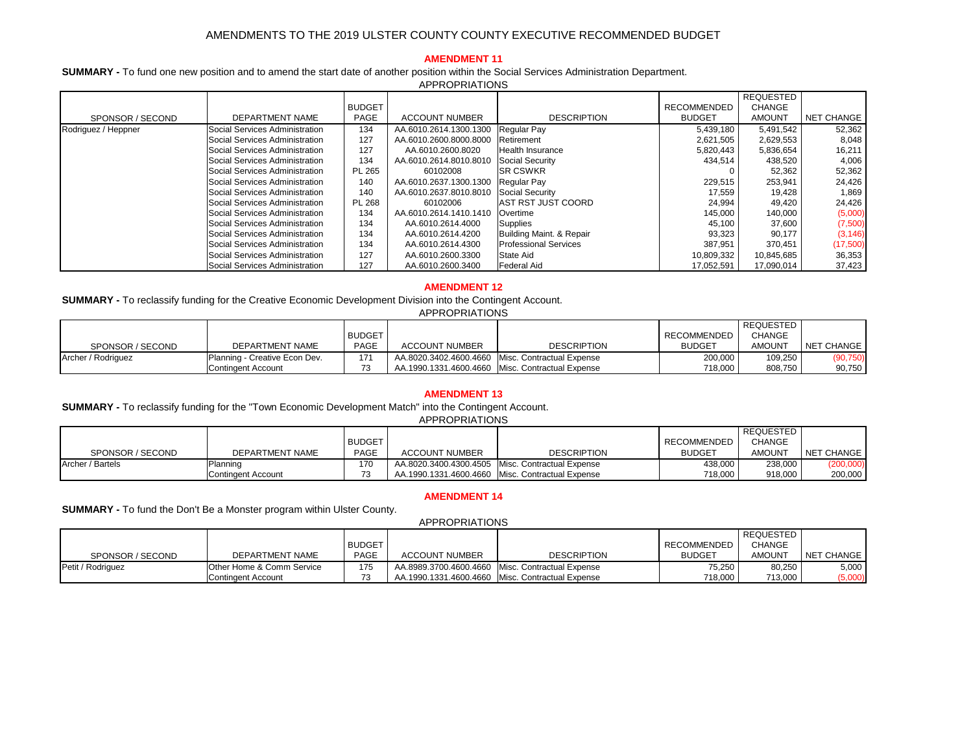|                     |                                |               |                        |                              |                    | <b>REQUESTED</b> |                   |
|---------------------|--------------------------------|---------------|------------------------|------------------------------|--------------------|------------------|-------------------|
|                     |                                | <b>BUDGET</b> |                        |                              | <b>RECOMMENDED</b> | <b>CHANGE</b>    |                   |
| SPONSOR / SECOND    | <b>DEPARTMENT NAME</b>         | <b>PAGE</b>   | <b>ACCOUNT NUMBER</b>  | <b>DESCRIPTION</b>           | <b>BUDGET</b>      | <b>AMOUNT</b>    | <b>NET CHANGE</b> |
| Rodriguez / Heppner | Social Services Administration | 134           | AA.6010.2614.1300.1300 | <b>Regular Pay</b>           | 5,439,180          | 5,491,542        | 52,362            |
|                     | Social Services Administration | 127           | AA.6010.2600.8000.8000 | Retirement                   | 2,621,505          | 2,629,553        | 8,048             |
|                     | Social Services Administration | 127           | AA.6010.2600.8020      | <b>Health Insurance</b>      | 5,820,443          | 5,836,654        | 16,211            |
|                     | Social Services Administration | 134           | AA.6010.2614.8010.8010 | Social Security              | 434,514            | 438,520          | 4,006             |
|                     | Social Services Administration | <b>PL 265</b> | 60102008               | <b>ISR CSWKR</b>             |                    | 52,362           | 52,362            |
|                     | Social Services Administration | 140           | AA.6010.2637.1300.1300 | Regular Pay                  | 229,515            | 253,941          | 24,426            |
|                     | Social Services Administration | 140           | AA.6010.2637.8010.8010 | Social Security              | 17,559             | 19,428           | 1,869             |
|                     | Social Services Administration | <b>PL 268</b> | 60102006               | <b>AST RST JUST COORD</b>    | 24,994             | 49,420           | 24,426            |
|                     | Social Services Administration | 134           | AA.6010.2614.1410.1410 | <b>Overtime</b>              | 145,000            | 140,000          | (5,000)           |
|                     | Social Services Administration | 134           | AA.6010.2614.4000      | <b>Supplies</b>              | 45,100             | 37,600           | (7,500)           |
|                     | Social Services Administration | 134           | AA.6010.2614.4200      | Building Maint. & Repair     | 93,323             | 90,177           | (3, 146)          |
|                     | Social Services Administration | 134           | AA.6010.2614.4300      | <b>Professional Services</b> | 387,951            | 370,451          | (17,500)          |
|                     | Social Services Administration | 127           | AA.6010.2600.3300      | State Aid                    | 10,809,332         | 10,845,685       | 36,353            |
|                     | Social Services Administration | 127           | AA.6010.2600.3400      | <b>Federal Aid</b>           | 17,052,591         | 17,090,014       | 37,423            |

|                    |                                |               |                       |                                                    |                    | REQUESTED     |            |
|--------------------|--------------------------------|---------------|-----------------------|----------------------------------------------------|--------------------|---------------|------------|
|                    |                                | <b>BUDGET</b> |                       |                                                    | <b>RECOMMENDED</b> | <b>CHANGE</b> |            |
| SPONSOR / SECOND   | DEPARTMENT NAME                | <b>PAGE</b>   | <b>ACCOUNT NUMBER</b> | <b>DESCRIPTION</b>                                 | <b>BUDGET</b>      | <b>AMOUNT</b> | NET CHANGE |
| Archer / Rodriguez | 'Planning - Creative Econ Dev. | 171           |                       | AA.8020.3402.4600.4660   Misc. Contractual Expense | 200,000            | 109,250       | (90, 750)  |
|                    | <b>Contingent Account</b>      | 73            |                       | AA.1990.1331.4600.4660   Misc. Contractual Expense | 718,000            | 808,750       | 90,750     |

|                  |                    |               |                       |                                                    |               | <b>REQUESTED</b> |            |
|------------------|--------------------|---------------|-----------------------|----------------------------------------------------|---------------|------------------|------------|
|                  |                    | <b>BUDGET</b> |                       |                                                    | RECOMMENDED   | <b>CHANGE</b>    |            |
| SPONSOR / SECOND | DEPARTMENT NAME    | <b>PAGE</b>   | <b>ACCOUNT NUMBER</b> | <b>DESCRIPTION</b>                                 | <b>BUDGET</b> | <b>AMOUNT</b>    | NET CHANGE |
| Archer / Bartels | Planning           | 170           |                       | AA.8020.3400.4300.4505   Misc. Contractual Expense | 438,000       | 238,000          | (200,000)  |
|                  | Contingent Account | 73<br>ັບ      |                       | AA.1990.1331.4600.4660   Misc. Contractual Expense | 718,000       | 918,000          | 200,000    |

|                          |                                      |               |                       |                                                    |                    | REQUESTED     |            |
|--------------------------|--------------------------------------|---------------|-----------------------|----------------------------------------------------|--------------------|---------------|------------|
|                          |                                      | <b>BUDGET</b> |                       |                                                    | <b>RECOMMENDED</b> | <b>CHANGE</b> |            |
| SPONSOR / SECOND         | <b>DEPARTMENT NAME</b>               | <b>PAGE</b>   | <b>ACCOUNT NUMBER</b> | <b>DESCRIPTION</b>                                 | <b>BUDGET</b>      | <b>AMOUNT</b> | NET CHANGE |
| <b>Petit / Rodriguez</b> | <b>Other Home &amp; Comm Service</b> | 175           |                       | AA.8989.3700.4600.4660   Misc. Contractual Expense | 75,250             | 80,250        | 5,000      |
|                          | <b>Contingent Account</b>            |               |                       | AA.1990.1331.4600.4660   Misc. Contractual Expense | 718,000            | 713,000       | (5,000)    |

# **AMENDMENT 12**

**SUMMARY -** To reclassify funding for the Creative Economic Development Division into the Contingent Account.

## **AMENDMENT 11**

**SUMMARY -** To fund one new position and to amend the start date of another position within the Social Services Administration Department. APPROPRIATIONS

## **AMENDMENT 13**

**SUMMARY -** To reclassify funding for the "Town Economic Development Match" into the Contingent Account.

APPROPRIATIONS

| <b>APPROPRIATIONS</b> |
|-----------------------|
|-----------------------|

# **AMENDMENT 14**

**SUMMARY -** To fund the Don't Be a Monster program within Ulster County.

APPROPRIATIONS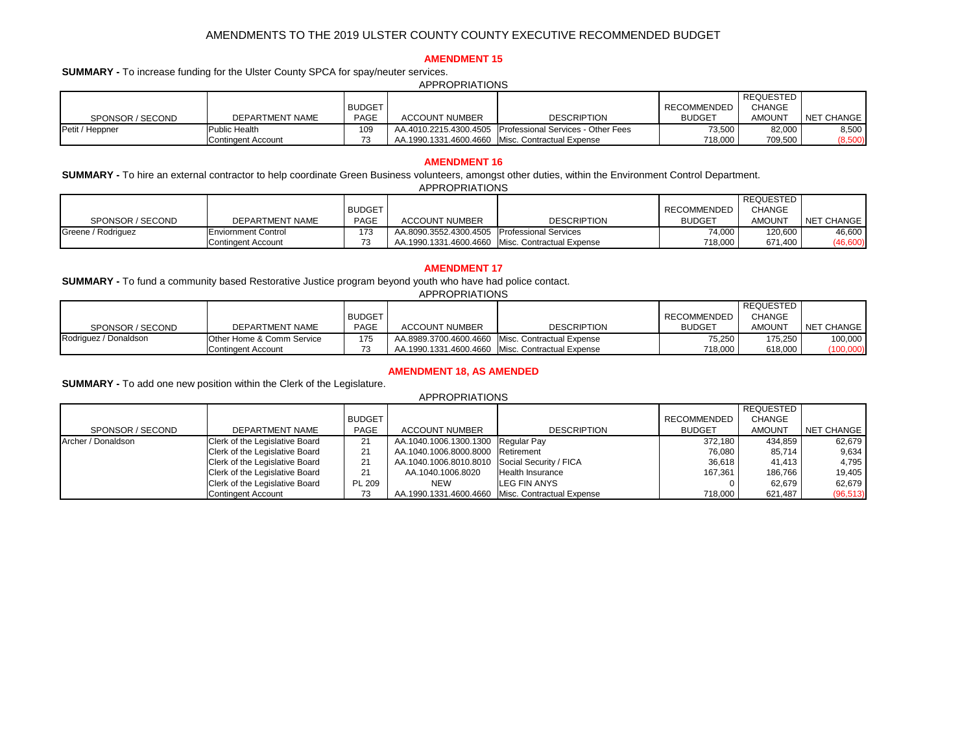|                    |                            |               |                                              |                                                    |                    | <b>REQUESTED</b> |            |
|--------------------|----------------------------|---------------|----------------------------------------------|----------------------------------------------------|--------------------|------------------|------------|
|                    |                            | <b>BUDGET</b> |                                              |                                                    | <b>RECOMMENDED</b> | <b>CHANGE</b>    |            |
| SPONSOR / SECOND   | <b>DEPARTMENT NAME</b>     | <b>PAGE</b>   | <b>ACCOUNT NUMBER</b>                        | <b>DESCRIPTION</b>                                 | <b>BUDGET</b>      | <b>AMOUNT</b>    | NET CHANGE |
| Greene / Rodriguez | <b>Enviornment Control</b> | 173           | AA.8090.3552.4300.4505 Professional Services |                                                    | 74,000丨            | 120,600          | 46,600     |
|                    | Contingent Account         | 73            |                                              | AA.1990.1331.4600.4660   Misc. Contractual Expense | 718,000            | 671,400          | (46,600)   |

|                  |                           |               |                       |                                                             |               | REQUESTED     |            |  |  |  |
|------------------|---------------------------|---------------|-----------------------|-------------------------------------------------------------|---------------|---------------|------------|--|--|--|
|                  |                           | <b>BUDGET</b> |                       |                                                             | RECOMMENDED   | <b>CHANGE</b> |            |  |  |  |
| SPONSOR / SECOND | <b>DEPARTMENT NAME</b>    | <b>PAGE</b>   | <b>ACCOUNT NUMBER</b> | <b>DESCRIPTION</b>                                          | <b>BUDGET</b> | <b>AMOUNT</b> | NET CHANGE |  |  |  |
| Petit / Heppner  | <b>Public Health</b>      | 109           |                       | AA.4010.2215.4300.4505   Professional Services - Other Fees | 73,500        | 82,000        | 8,500      |  |  |  |
|                  | <b>Contingent Account</b> | 73            |                       | AA.1990.1331.4600.4660 Misc. Contractual Expense            | 718,000       | 709,500       | (8,500)    |  |  |  |

|                    |                                       |               |                                                    |                    |               | <b>REQUESTED</b> |            |
|--------------------|---------------------------------------|---------------|----------------------------------------------------|--------------------|---------------|------------------|------------|
|                    |                                       | <b>BUDGET</b> |                                                    |                    | RECOMMENDED   | <b>CHANGE</b>    |            |
| SPONSOR / SECOND   | <b>DEPARTMENT NAME</b>                | <b>PAGE</b>   | <b>ACCOUNT NUMBER</b>                              | <b>DESCRIPTION</b> | <b>BUDGET</b> | <b>AMOUNT</b>    | NET CHANGE |
| Archer / Donaldson | Clerk of the Legislative Board        | 21            | AA.1040.1006.1300.1300 Regular Pay                 |                    | 372,180       | 434,859          | 62,679     |
|                    | Clerk of the Legislative Board        | 21            | AA.1040.1006.8000.8000 Retirement                  |                    | 76,080        | 85,714           | 9,634      |
|                    | Clerk of the Legislative Board        | 21            | AA.1040.1006.8010.8010 Social Security / FICA      |                    | 36,618        | 41,413           | 4,795      |
|                    | <b>Clerk of the Legislative Board</b> | 21            | AA.1040.1006.8020                                  | Health Insurance   | 167,361       | 186,766          | 19,405     |
|                    | Clerk of the Legislative Board        | <b>PL 209</b> | <b>NEW</b>                                         | LEG FIN ANYS       |               | 62,679           | 62,679     |
|                    | Contingent Account                    | 73            | AA.1990.1331.4600.4660   Misc. Contractual Expense |                    | 718,000       | 621,487          | (96, 513)  |

|                       |                                      |               |                        |                                                    |                    | <b>REQUESTED</b> |            |
|-----------------------|--------------------------------------|---------------|------------------------|----------------------------------------------------|--------------------|------------------|------------|
|                       |                                      | <b>BUDGET</b> |                        |                                                    | <b>RECOMMENDED</b> | <b>CHANGE</b>    |            |
| SPONSOR / SECOND      | DEPARTMENT NAME                      | <b>PAGE</b>   | <b>ACCOUNT NUMBER</b>  | <b>DESCRIPTION</b>                                 | <b>BUDGET</b>      | <b>AMOUNT</b>    | NET CHANGE |
| Rodriguez / Donaldson | <b>Other Home &amp; Comm Service</b> | 175           | AA.8989.3700.4600.4660 | √ Misc. Contractual Expense                        | 75,250             | 175,250          | 100,000    |
|                       | <b>Contingent Account</b>            | 73            |                        | AA.1990.1331.4600.4660   Misc. Contractual Expense | 718,000            | 618,000          | (100,000)  |

## **AMENDMENT 16**

APPROPRIATIONS

| <b>APPROPRIATIONS</b> |  |
|-----------------------|--|
|-----------------------|--|

## **AMENDMENT 15**

**SUMMARY -** To increase funding for the Ulster County SPCA for spay/neuter services.

**SUMMARY -** To add one new position within the Clerk of the Legislature.

APPROPRIATIONS **SUMMARY -** To hire an external contractor to help coordinate Green Business volunteers, amongst other duties, within the Environment Control Department.

#### APPROPRIATIONS

## **AMENDMENT 17**

**SUMMARY -** To fund a community based Restorative Justice program beyond youth who have had police contact.

## **AMENDMENT 18, AS AMENDED**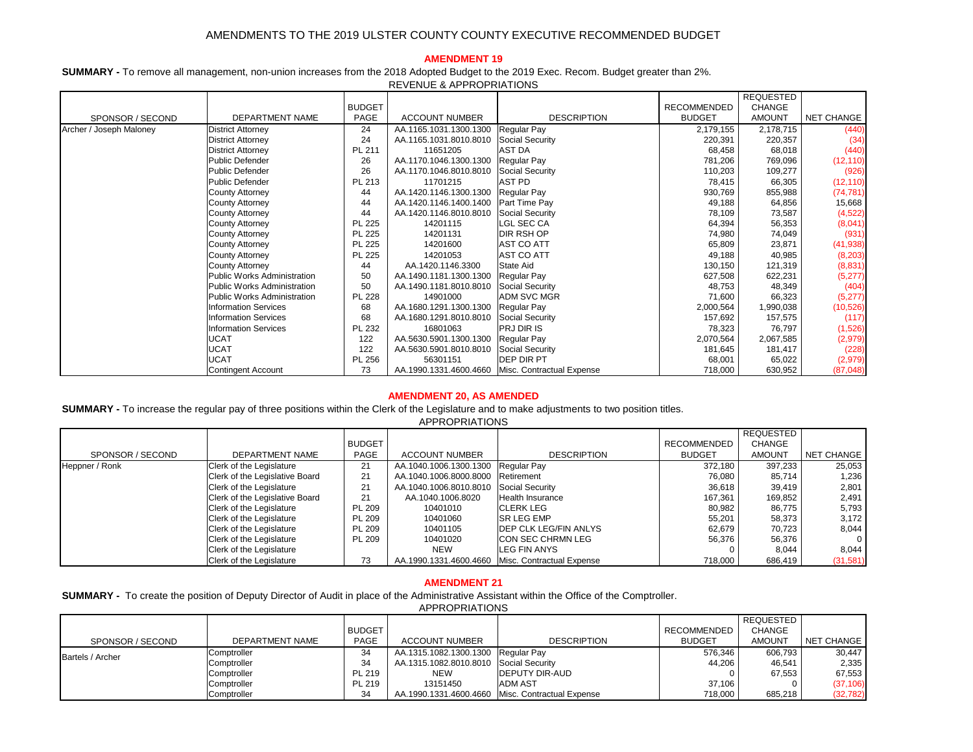|                             |                                    |               |                        |                           |                    | <b>REQUESTED</b> |                   |
|-----------------------------|------------------------------------|---------------|------------------------|---------------------------|--------------------|------------------|-------------------|
|                             |                                    | <b>BUDGET</b> |                        |                           | <b>RECOMMENDED</b> | <b>CHANGE</b>    |                   |
| SPONSOR / SECOND            | DEPARTMENT NAME                    | <b>PAGE</b>   | <b>ACCOUNT NUMBER</b>  | <b>DESCRIPTION</b>        | <b>BUDGET</b>      | <b>AMOUNT</b>    | <b>NET CHANGE</b> |
| Archer / Joseph Maloney     | <b>District Attorney</b>           | 24            | AA.1165.1031.1300.1300 | <b>Regular Pay</b>        | 2,179,155          | 2,178,715        | (440)             |
|                             | <b>District Attorney</b>           | 24            | AA.1165.1031.8010.8010 | <b>Social Security</b>    | 220,391            | 220,357          | (34)              |
|                             | <b>District Attorney</b>           | PL 211        | 11651205               | <b>AST DA</b>             | 68,458             | 68,018           | (440)             |
|                             | <b>Public Defender</b>             | 26            | AA.1170.1046.1300.1300 | Regular Pay               | 781,206            | 769,096          | (12, 110)         |
|                             | <b>Public Defender</b>             | 26            | AA.1170.1046.8010.8010 | <b>Social Security</b>    | 110,203            | 109,277          | (926)             |
|                             | <b>Public Defender</b>             | PL 213        | 11701215               | <b>AST PD</b>             | 78,415             | 66,305           | (12, 110)         |
|                             | <b>County Attorney</b>             | 44            | AA.1420.1146.1300.1300 | Regular Pay               | 930,769            | 855,988          | (74, 781)         |
|                             | <b>County Attorney</b>             | 44            | AA.1420.1146.1400.1400 | Part Time Pay             | 49,188             | 64,856           | 15,668            |
|                             | <b>County Attorney</b>             | 44            | AA.1420.1146.8010.8010 | <b>Social Security</b>    | 78,109             | 73,587           | (4,522)           |
|                             | <b>County Attorney</b>             | <b>PL 225</b> | 14201115               | <b>LGL SEC CA</b>         | 64,394             | 56,353           | (8,041)           |
|                             | <b>County Attorney</b>             | <b>PL 225</b> | 14201131               | <b>DIR RSH OP</b>         | 74,980             | 74,049           | (931)             |
|                             | <b>County Attorney</b>             | <b>PL 225</b> | 14201600               | <b>AST CO ATT</b>         | 65,809             | 23,871           | (41, 938)         |
|                             | <b>County Attorney</b>             | <b>PL 225</b> | 14201053               | <b>AST CO ATT</b>         | 49,188             | 40,985           | (8,203)           |
|                             | <b>County Attorney</b>             | 44            | AA.1420.1146.3300      | <b>State Aid</b>          | 130,150            | 121,319          | (8,831)           |
|                             | <b>Public Works Administration</b> | 50            | AA.1490.1181.1300.1300 | Regular Pay               | 627,508            | 622,231          | (5,277)           |
|                             | <b>Public Works Administration</b> | 50            | AA.1490.1181.8010.8010 | <b>Social Security</b>    | 48,753             | 48,349           | (404)             |
|                             | <b>Public Works Administration</b> | <b>PL 228</b> | 14901000               | <b>ADM SVC MGR</b>        | 71,600             | 66,323           | (5,277)           |
|                             | <b>Information Services</b>        | 68            | AA.1680.1291.1300.1300 | Regular Pay               | 2,000,564          | 1,990,038        | (10, 526)         |
|                             | <b>Information Services</b>        | 68            | AA.1680.1291.8010.8010 | <b>Social Security</b>    | 157,692            | 157,575          | (117)             |
| <b>Information Services</b> |                                    | PL 232        | 16801063               | <b>PRJ DIR IS</b>         | 78,323             | 76,797           | (1,526)           |
|                             | <b>UCAT</b>                        | 122           | AA.5630.5901.1300.1300 | Regular Pay               | 2,070,564          | 2,067,585        | (2, 979)          |
|                             | <b>UCAT</b>                        | 122           | AA.5630.5901.8010.8010 | <b>Social Security</b>    | 181,645            | 181,417          | (228)             |
|                             | <b>UCAT</b>                        | PL 256        | 56301151               | <b>DEP DIR PT</b>         | 68,001             | 65,022           | (2,979)           |
|                             | Contingent Account                 | 73            | AA.1990.1331.4600.4660 | Misc. Contractual Expense | 718,000            | 630,952          | (87, 048)         |

|                  |                                 |               |                                        |                                                    |                    | <b>REQUESTED</b> |                   |
|------------------|---------------------------------|---------------|----------------------------------------|----------------------------------------------------|--------------------|------------------|-------------------|
|                  |                                 | <b>BUDGET</b> |                                        |                                                    | <b>RECOMMENDED</b> | <b>CHANGE</b>    |                   |
| SPONSOR / SECOND | DEPARTMENT NAME                 | <b>PAGE</b>   | <b>ACCOUNT NUMBER</b>                  | <b>DESCRIPTION</b>                                 | <b>BUDGET</b>      | <b>AMOUNT</b>    | <b>NET CHANGE</b> |
| Heppner / Ronk   | Clerk of the Legislature        | 21            | AA.1040.1006.1300.1300 Regular Pay     |                                                    | 372,180            | 397,233          | 25,053            |
|                  | Clerk of the Legislative Board  | 21            | AA.1040.1006.8000.8000 Retirement      |                                                    | 76,080             | 85,714           | 1,236             |
|                  | <b>Clerk of the Legislature</b> | 21            | AA.1040.1006.8010.8010 Social Security |                                                    | 36,618             | 39,419           | 2,801             |
|                  | Clerk of the Legislative Board  | 21            | AA.1040.1006.8020                      | Health Insurance                                   | 167,361            | 169,852          | 2,491             |
|                  | <b>Clerk of the Legislature</b> | <b>PL 209</b> | 10401010                               | <b>CLERK LEG</b>                                   | 80,982             | 86,775           | 5,793             |
|                  | <b>Clerk of the Legislature</b> | <b>PL 209</b> | 10401060                               | <b>SR LEG EMP</b>                                  | 55,201             | 58,373           | 3,172             |
|                  | <b>Clerk of the Legislature</b> | <b>PL 209</b> | 10401105                               | <b>DEP CLK LEG/FIN ANLYS</b>                       | 62,679             | 70,723           | 8,044             |
|                  | <b>Clerk of the Legislature</b> | <b>PL 209</b> | 10401020                               | <b>CON SEC CHRMN LEG</b>                           | 56,376             | 56,376           | $\overline{0}$    |
|                  | <b>Clerk of the Legislature</b> |               | <b>NEW</b>                             | <b>LEG FIN ANYS</b>                                |                    | 8,044            | 8,044             |
|                  | Clerk of the Legislature        | 73            |                                        | AA.1990.1331.4600.4660   Misc. Contractual Expense | 718,000            | 686,419          | (31, 581)         |

|                         |                 |               |                                        |                                                  |               | REQUESTED     |            |
|-------------------------|-----------------|---------------|----------------------------------------|--------------------------------------------------|---------------|---------------|------------|
|                         |                 | <b>BUDGET</b> |                                        |                                                  | RECOMMENDED   | <b>CHANGE</b> |            |
| SPONSOR / SECOND        | DEPARTMENT NAME | <b>PAGE</b>   | <b>ACCOUNT NUMBER</b>                  | <b>DESCRIPTION</b>                               | <b>BUDGET</b> | <b>AMOUNT</b> | NET CHANGE |
| <b>Bartels / Archer</b> | Comptroller     | 34            | AA.1315.1082.1300.1300 Regular Pay     |                                                  | 576,346       | 606,793       | 30,447     |
|                         | Comptroller     | 34            | AA.1315.1082.8010.8010 Social Security |                                                  | 44,206        | 46,541        | 2,335      |
|                         | Comptroller     | <b>PL 219</b> | <b>NEW</b>                             | <b>IDEPUTY DIR-AUD</b>                           |               | 67,553        | 67,553     |
|                         | Comptroller     | PL 219        | 13151450                               | <b>IADM AST</b>                                  | 37,106        |               | (37, 106)  |
|                         | Comptroller     | 34            |                                        | AA.1990.1331.4600.4660 Misc. Contractual Expense | 718,000       | 685,218       | (32, 782)  |

### **AMENDMENT 20, AS AMENDED**

**SUMMARY -** To increase the regular pay of three positions within the Clerk of the Legislature and to make adjustments to two position titles. APPROPRIATIONS

### **AMENDMENT 21**

**SUMMARY -** To create the position of Deputy Director of Audit in place of the Administrative Assistant within the Office of the Comptroller. APPROPRIATIONS

## **AMENDMENT 19**

**SUMMARY -** To remove all management, non-union increases from the 2018 Adopted Budget to the 2019 Exec. Recom. Budget greater than 2%. REVENUE & APPROPRIATIONS